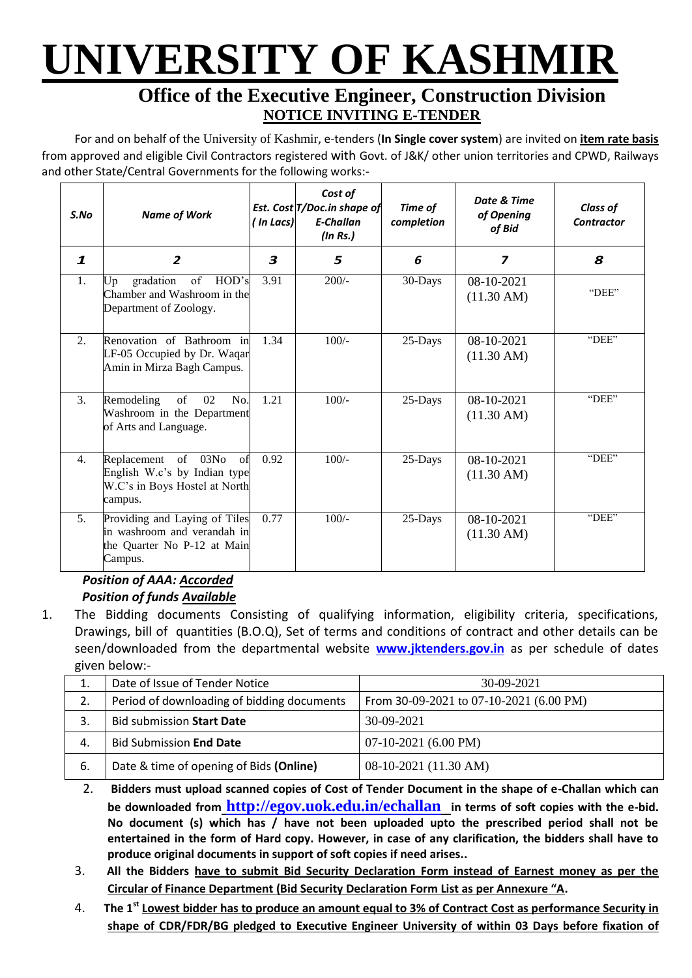# **UNIVERSITY OF KASHMIR**

### **Office of the Executive Engineer, Construction Division NOTICE INVITING E-TENDER**

For and on behalf of the University of Kashmir, e-tenders (**In Single cover system**) are invited on **item rate basis** from approved and eligible Civil Contractors registered with Govt. of J&K/ other union territories and CPWD, Railways and other State/Central Governments for the following works:-

| S.No           | <b>Name of Work</b>                                                                                      | ( In Lacs) | Cost of<br>Est. Cost T/Doc.in shape of<br><b>E-Challan</b><br>$($ ln Rs. $)$ | Time of<br>completion | Date & Time<br>of Opening<br>of Bid | <b>Class of</b><br><b>Contractor</b> |
|----------------|----------------------------------------------------------------------------------------------------------|------------|------------------------------------------------------------------------------|-----------------------|-------------------------------------|--------------------------------------|
| 1              | $\overline{2}$                                                                                           | 3          | 5                                                                            | 6                     | $\overline{\mathbf{z}}$             | 8                                    |
| 1.             | gradation<br>of HOD's<br>Up<br>Chamber and Washroom in the<br>Department of Zoology.                     | 3.91       | $200/-$                                                                      | 30-Days               | 08-10-2021<br>$(11.30 \text{ AM})$  | "DEE"                                |
| 2.             | Renovation of Bathroom in<br>LF-05 Occupied by Dr. Waqar<br>Amin in Mirza Bagh Campus.                   | 1.34       | $100/-$                                                                      | 25-Days               | 08-10-2021<br>$(11.30 \text{ AM})$  | "DEE"                                |
| 3.             | Remodeling<br>of<br>02<br>No.<br>Washroom in the Department<br>of Arts and Language.                     | 1.21       | $100/-$                                                                      | $25$ -Days            | 08-10-2021<br>$(11.30 \text{ AM})$  | "DEE"                                |
| 4.             | of 03No<br>Replacement<br>of<br>English W.c's by Indian type<br>W.C's in Boys Hostel at North<br>campus. | 0.92       | $100/-$                                                                      | $25$ -Days            | 08-10-2021<br>$(11.30 \text{ AM})$  | "DEE"                                |
| 5 <sub>1</sub> | Providing and Laying of Tiles<br>in washroom and verandah in<br>the Quarter No P-12 at Main<br>Campus.   | 0.77       | $100/-$                                                                      | $25$ -Days            | 08-10-2021<br>$(11.30 \text{ AM})$  | "DEE"                                |

#### *Position of AAA: Accorded Position of funds Available*

1. The Bidding documents Consisting of qualifying information, eligibility criteria, specifications, Drawings, bill of quantities (B.O.Q), Set of terms and conditions of contract and other details can be seen/downloaded from the departmental website **[w](http://www.pmgsytendersjk.gov.in/)ww.jktenders.gov.in** as per schedule of dates given below:-

| 1. | Date of Issue of Tender Notice             | $30-09-2021$                            |
|----|--------------------------------------------|-----------------------------------------|
| 2. | Period of downloading of bidding documents | From 30-09-2021 to 07-10-2021 (6.00 PM) |
|    | <b>Bid submission Start Date</b>           | $30-09-2021$                            |
| 4. | <b>Bid Submission End Date</b>             | $07-10-2021$ (6.00 PM)                  |
| 6. | Date & time of opening of Bids (Online)    | 08-10-2021 (11.30 AM)                   |

- 2. **Bidders must upload scanned copies of Cost of Tender Document in the shape of e-Challan which can be downloaded from <http://egov.uok.edu.in/echallan> in terms of soft copies with the e-bid. No document (s) which has / have not been uploaded upto the prescribed period shall not be entertained in the form of Hard copy. However, in case of any clarification, the bidders shall have to produce original documents in support of soft copies if need arises..**
- 3. **All the Bidders have to submit Bid Security Declaration Form instead of Earnest money as per the Circular of Finance Department (Bid Security Declaration Form List as per Annexure "A.**
- 4. **The 1st Lowest bidder has to produce an amount equal to 3% of Contract Cost as performance Security in shape of CDR/FDR/BG pledged to Executive Engineer University of within 03 Days before fixation of**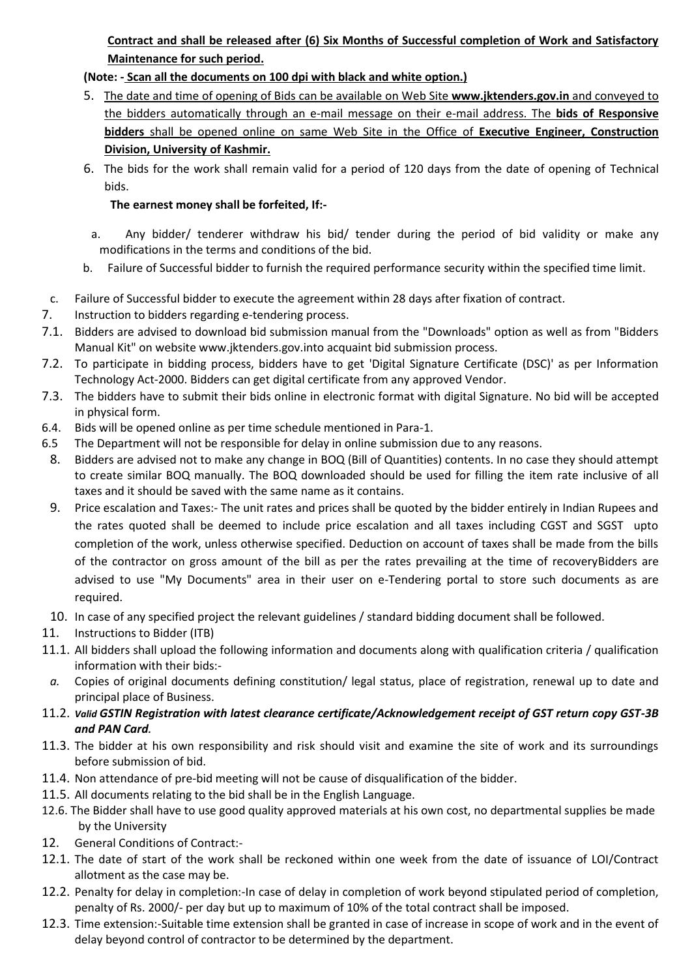#### **Contract and shall be released after (6) Six Months of Successful completion of Work and Satisfactory Maintenance for such period.**

#### **(Note: - Scan all the documents on 100 dpi with black and white option.)**

- 5. The date and time of opening of Bids can be available on Web Site **[www.jktenders.gov.in](http://www.pmgsytendersjk.gov.in/)** and conveyed to the bidders automatically through an e-mail message on their e-mail address. The **bids of Responsive bidders** shall be opened online on same Web Site in the Office of **Executive Engineer, Construction Division, University of Kashmir.**
- 6. The bids for the work shall remain valid for a period of 120 days from the date of opening of Technical bids.

#### **The earnest money shall be forfeited, If:-**

- a. Any bidder/ tenderer withdraw his bid/ tender during the period of bid validity or make any modifications in the terms and conditions of the bid.
- b. Failure of Successful bidder to furnish the required performance security within the specified time limit.
- c. Failure of Successful bidder to execute the agreement within 28 days after fixation of contract.
- 7. Instruction to bidders regarding e-tendering process.
- 7.1. Bidders are advised to download bid submission manual from the "Downloads" option as well as from "Bidders Manual Kit" on website [www.jktenders.gov.into](http://www.pmgsytendersjk.gov.into/) acquaint bid submission process.
- 7.2. To participate in bidding process, bidders have to get 'Digital Signature Certificate (DSC)' as per Information Technology Act-2000. Bidders can get digital certificate from any approved Vendor.
- 7.3. The bidders have to submit their bids online in electronic format with digital Signature. No bid will be accepted in physical form.
- 6.4. Bids will be opened online as per time schedule mentioned in Para-1.
- 6.5 The Department will not be responsible for delay in online submission due to any reasons.
- 8. Bidders are advised not to make any change in BOQ (Bill of Quantities) contents. In no case they should attempt to create similar BOQ manually. The BOQ downloaded should be used for filling the item rate inclusive of all taxes and it should be saved with the same name as it contains.
- 9. Price escalation and Taxes:- The unit rates and prices shall be quoted by the bidder entirely in Indian Rupees and the rates quoted shall be deemed to include price escalation and all taxes including CGST and SGST upto completion of the work, unless otherwise specified. Deduction on account of taxes shall be made from the bills of the contractor on gross amount of the bill as per the rates prevailing at the time of recoveryBidders are advised to use "My Documents" area in their user on e-Tendering portal to store such documents as are required.
- 10. In case of any specified project the relevant guidelines / standard bidding document shall be followed.
- 11. Instructions to Bidder (ITB)
- 11.1. All bidders shall upload the following information and documents along with qualification criteria / qualification information with their bids:-
- *a.* Copies of original documents defining constitution/ legal status, place of registration, renewal up to date and principal place of Business.
- 11.2. *Valid GSTIN Registration with latest clearance certificate/Acknowledgement receipt of GST return copy GST-3B and PAN Card.*
- 11.3. The bidder at his own responsibility and risk should visit and examine the site of work and its surroundings before submission of bid.
- 11.4. Non attendance of pre-bid meeting will not be cause of disqualification of the bidder.
- 11.5. All documents relating to the bid shall be in the English Language.
- 12.6. The Bidder shall have to use good quality approved materials at his own cost, no departmental supplies be made by the University
- 12. General Conditions of Contract:-
- 12.1. The date of start of the work shall be reckoned within one week from the date of issuance of LOI/Contract allotment as the case may be.
- 12.2. Penalty for delay in completion:-In case of delay in completion of work beyond stipulated period of completion, penalty of Rs. 2000/- per day but up to maximum of 10% of the total contract shall be imposed.
- 12.3. Time extension:-Suitable time extension shall be granted in case of increase in scope of work and in the event of delay beyond control of contractor to be determined by the department.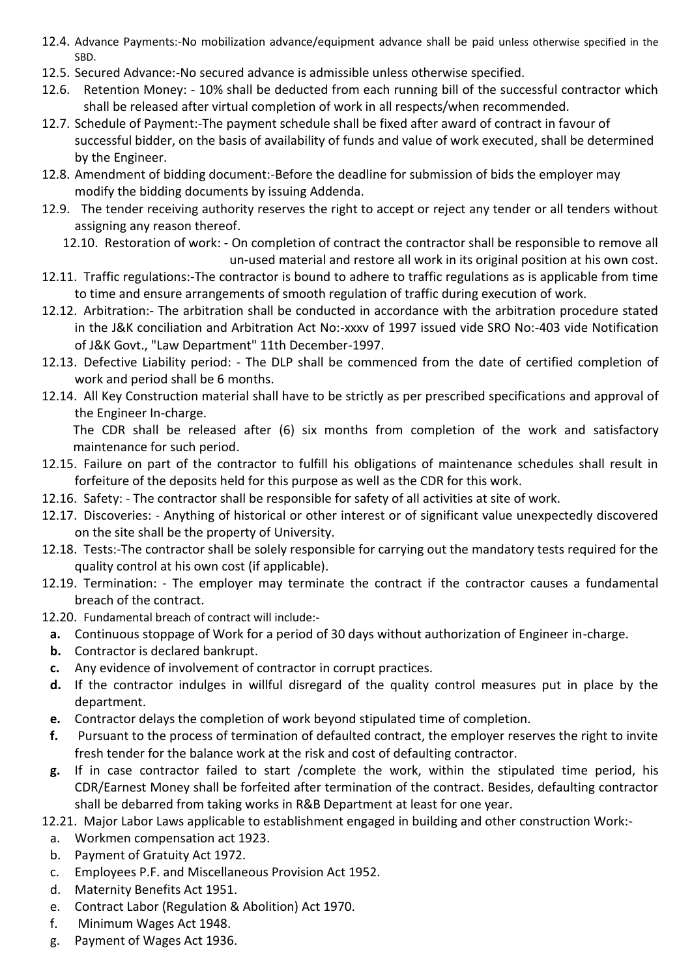- 12.4. Advance Payments:-No mobilization advance/equipment advance shall be paid unless otherwise specified in the SBD.
- 12.5. Secured Advance:-No secured advance is admissible unless otherwise specified.
- 12.6. Retention Money: 10% shall be deducted from each running bill of the successful contractor which shall be released after virtual completion of work in all respects/when recommended.
- 12.7. Schedule of Payment:-The payment schedule shall be fixed after award of contract in favour of successful bidder, on the basis of availability of funds and value of work executed, shall be determined by the Engineer.
- 12.8. Amendment of bidding document:-Before the deadline for submission of bids the employer may modify the bidding documents by issuing Addenda.
- 12.9. The tender receiving authority reserves the right to accept or reject any tender or all tenders without assigning any reason thereof.
	- 12.10. Restoration of work: On completion of contract the contractor shall be responsible to remove all un-used material and restore all work in its original position at his own cost.
- 12.11. Traffic regulations:-The contractor is bound to adhere to traffic regulations as is applicable from time to time and ensure arrangements of smooth regulation of traffic during execution of work.
- 12.12. Arbitration:- The arbitration shall be conducted in accordance with the arbitration procedure stated in the J&K conciliation and Arbitration Act No:-xxxv of 1997 issued vide SRO No:-403 vide Notification of J&K Govt., "Law Department" 11th December-1997.
- 12.13. Defective Liability period: The DLP shall be commenced from the date of certified completion of work and period shall be 6 months.
- 12.14. All Key Construction material shall have to be strictly as per prescribed specifications and approval of the Engineer In-charge.

The CDR shall be released after (6) six months from completion of the work and satisfactory maintenance for such period.

- 12.15. Failure on part of the contractor to fulfill his obligations of maintenance schedules shall result in forfeiture of the deposits held for this purpose as well as the CDR for this work.
- 12.16. Safety: The contractor shall be responsible for safety of all activities at site of work.
- 12.17. Discoveries: Anything of historical or other interest or of significant value unexpectedly discovered on the site shall be the property of University.
- 12.18. Tests:-The contractor shall be solely responsible for carrying out the mandatory tests required for the quality control at his own cost (if applicable).
- 12.19. Termination: The employer may terminate the contract if the contractor causes a fundamental breach of the contract.
- 12.20. Fundamental breach of contract will include:
	- **a.** Continuous stoppage of Work for a period of 30 days without authorization of Engineer in-charge.
	- **b.** Contractor is declared bankrupt.
	- **c.** Any evidence of involvement of contractor in corrupt practices.
	- **d.** If the contractor indulges in willful disregard of the quality control measures put in place by the department.
	- **e.** Contractor delays the completion of work beyond stipulated time of completion.
	- **f.** Pursuant to the process of termination of defaulted contract, the employer reserves the right to invite fresh tender for the balance work at the risk and cost of defaulting contractor.
	- **g.** If in case contractor failed to start /complete the work, within the stipulated time period, his CDR/Earnest Money shall be forfeited after termination of the contract. Besides, defaulting contractor shall be debarred from taking works in R&B Department at least for one year.

12.21. Major Labor Laws applicable to establishment engaged in building and other construction Work:-

- a. Workmen compensation act 1923.
- b. Payment of Gratuity Act 1972.
- c. Employees P.F. and Miscellaneous Provision Act 1952.
- d. Maternity Benefits Act 1951.
- e. Contract Labor (Regulation & Abolition) Act 1970.
- f. Minimum Wages Act 1948.
- g. Payment of Wages Act 1936.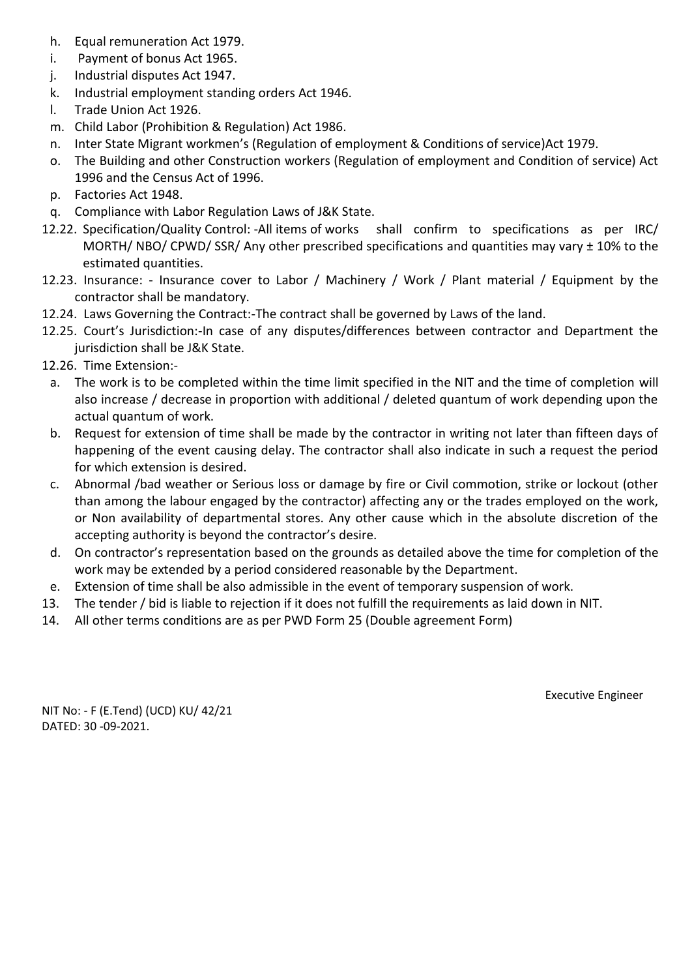- h. Equal remuneration Act 1979.
- i. Payment of bonus Act 1965.
- j. Industrial disputes Act 1947.
- k. Industrial employment standing orders Act 1946.
- l. Trade Union Act 1926.
- m. Child Labor (Prohibition & Regulation) Act 1986.
- n. Inter State Migrant workmen's (Regulation of employment & Conditions of service)Act 1979.
- o. The Building and other Construction workers (Regulation of employment and Condition of service) Act 1996 and the Census Act of 1996.
- p. Factories Act 1948.
- q. Compliance with Labor Regulation Laws of J&K State.
- 12.22. Specification/Quality Control: -All items of works shall confirm to specifications as per IRC/ MORTH/ NBO/ CPWD/ SSR/ Any other prescribed specifications and quantities may vary ± 10% to the estimated quantities.
- 12.23. Insurance: Insurance cover to Labor / Machinery / Work / Plant material / Equipment by the contractor shall be mandatory.
- 12.24. Laws Governing the Contract:-The contract shall be governed by Laws of the land.
- 12.25. Court's Jurisdiction:-In case of any disputes/differences between contractor and Department the jurisdiction shall be J&K State.
- 12.26. Time Extension:
	- a. The work is to be completed within the time limit specified in the NIT and the time of completion will also increase / decrease in proportion with additional / deleted quantum of work depending upon the actual quantum of work.
	- b. Request for extension of time shall be made by the contractor in writing not later than fifteen days of happening of the event causing delay. The contractor shall also indicate in such a request the period for which extension is desired.
	- c. Abnormal /bad weather or Serious loss or damage by fire or Civil commotion, strike or lockout (other than among the labour engaged by the contractor) affecting any or the trades employed on the work, or Non availability of departmental stores. Any other cause which in the absolute discretion of the accepting authority is beyond the contractor's desire.
	- d. On contractor's representation based on the grounds as detailed above the time for completion of the work may be extended by a period considered reasonable by the Department.
- e. Extension of time shall be also admissible in the event of temporary suspension of work.
- 13. The tender / bid is liable to rejection if it does not fulfill the requirements as laid down in NIT.
- 14. All other terms conditions are as per PWD Form 25 (Double agreement Form)

Executive Engineer

NIT No: - F (E.Tend) (UCD) KU/ 42/21 DATED: 30 -09-2021.